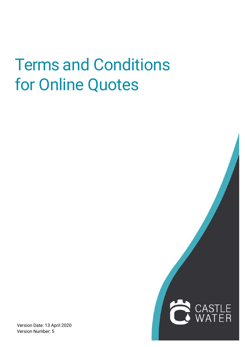## Terms and Conditions for Online Quotes

Version Date: 13 April 2020 Version Number: 5

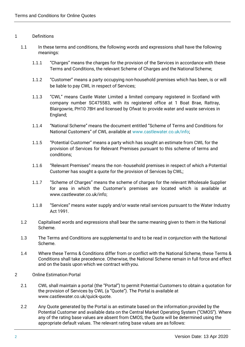## 1 Definitions

- 1.1 In these terms and conditions, the following words and expressions shall have the following meanings:
	- 1.1.1 "Charges" means the charges for the provision of the Services in accordance with these Terms and Conditions, the relevant Scheme of Charges and the National Scheme;
	- 1.1.2 "Customer" means a party occupying non-household premises which has been, is or will be liable to pay CWL in respect of Services;
	- 1.1.3 "CWL" means Castle Water Limited a limited company registered in Scotland with company number SC475583, with its registered office at 1 Boat Brae, Rattray, Blairgowrie, PH10 7BH and licensed by Ofwat to provide water and waste services in England;
	- 1.1.4 "National Scheme" means the document entitled "Scheme of Terms and Conditions for National Customers" of CWL available at [www.castlewater.co.uk/info;](http://www.castlewater.co.uk/info%3B)
	- 1.1.5 "Potential Customer" means a party which has sought an estimate from CWL for the provision of Services for Relevant Premises pursuant to this scheme of terms and conditions;
	- 1.1.6 "Relevant Premises" means the non -household premises in respect of which a Potential Customer has sought a quote for the provision of Services by CWL;
	- 1.1.7 "Scheme of Charges" means the scheme of charges for the relevant Wholesale Supplier for area in which the Customer's premises are located which is available at [www.castlewater.co.uk/info;](http://www.castlewater.co.uk/info%3B)
	- 1.1.8 "Services" means water supply and/or waste retail services pursuant to the Water Industry Act 1991.
- 1.2 Capitalised words and expressions shall bear the same meaning given to them in the National Scheme.
- 1.3 The Terms and Conditions are supplemental to and to be read in conjunction with the National Scheme.
- 1.4 Where these Terms & Conditions differ from or conflict with the National Scheme, these Terms & Conditions shall take precedence. Otherwise, the National Scheme remain in full force and effect and on the basis upon which we contract with you.
- 2 Online Estimation Portal
	- 2.1 CWL shall maintain a portal (the "Portal") to permit Potential Customers to obtain a quotation for the provision of Services by CWL (a "Quote"). The Portal is available at [www.castlewater.co.uk/quick-quote.](http://www.castlewater.co.uk/quick-quote)
	- 2.2 Any Quote generated by the Portal is an estimate based on the information provided by the Potential Customer and available data on the Central Market Operating System ("CMOS"). Where any of the rating base values are absent from CMOS, the Quote will be determined using the appropriate default values. The relevant rating base values are as follows: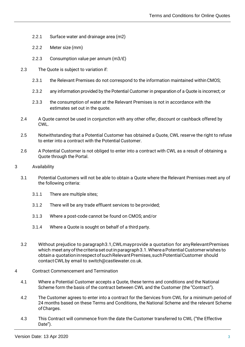- 2.2.1 Surface water and drainage area (m2)
- 2.2.2 Meter size (mm)
- 2.2.3 Consumption value per annum (m3/£)
- 2.3 The Quote is subject to variation if:
	- 2.3.1 the Relevant Premises do not correspond to the information maintained withinCMOS;
	- 2.3.2 any information provided by the Potential Customer in preparation of a Quote is incorrect; or
	- 2.3.3 the consumption of water at the Relevant Premises is not in accordance with the estimates set out in the quote.
- 2.4 A Quote cannot be used in conjunction with any other offer, discount or cashback offered by CWL.
- 2.5 Notwithstanding that a Potential Customer has obtained a Quote, CWL reserve the right to refuse to enter into a contract with the Potential Customer.
- 2.6 A Potential Customer is not obliged to enter into a contract with CWL as a result of obtaining a Quote through the Portal.
- 3 Availability
	- 3.1 Potential Customers will not be able to obtain a Quote where the Relevant Premises meet any of the following criteria:
		- 3.1.1 There are multiple sites;
		- 3.1.2 There will be any trade effluent services to be provided;
		- 3.1.3 Where a post-code cannot be found on CMOS; and/or
		- 3.1.4 Where a Quote is sought on behalf of a third party.
	- 3.2 Without prejudice to paragraph3.1,CWLmayprovide a quotation for anyRelevantPremises which meet any of the criteria set out in paragraph 3.1. Where a Potential Customer wishes to obtain a quotationinrespectofsuchRelevantPremises,suchPotentialCustomer should contactCWLby email to [switch@castlewater.co.uk.](mailto:switch@castlewater.co.uk)
- 4 Contract Commencement and Termination
	- 4.1 Where a Potential Customer accepts a Quote, these terms and conditions and the National Scheme form the basis of the contract between CWL and the Customer (the "Contract").
	- 4.2 The Customer agrees to enter into a contract for the Services from CWL for a minimum period of 24 months based on these Terms and Conditions, the National Scheme and the relevant Scheme ofCharges.
	- 4.3 This Contract will commence from the date the Customer transferred to CWL ("the Effective Date").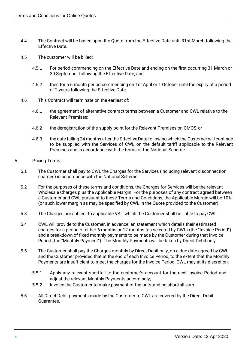- 4.4 The Contract will be based upon the Quote from the Effective Date until 31st March following the Effective Date.
- 4.5 The customer will be billed:
	- 4.5.1 For period commencing on the Effective Date and ending on the first occurring 31 March or 30 September following the Effective Date; and
	- 4.5.2 then for a 6 month period commencing on 1st April or 1 October until the expiry of a period of 2 years following the Effective Date.
- 4.6 This Contract will terminate on the earliest of:
	- 4.6.1 the agreement of alternative contract terms between a Customer and CWL relative to the Relevant Premises;
	- 4.6.2 the deregistration of the supply point for the Relevant Premises on CMOS; or
	- 4.6.3 the date falling 24 months after the EffectiveDate following which the Customer will continue to be supplied with the Services of CWL on the default tariff applicable to the Relevant Premises and in accordance with the terms of the National Scheme.
- 5 Pricing Terms
	- 5.1 The Customer shall pay to CWL the Charges for the Services (including relevant disconnection charges) in accordance with the National Scheme.
	- 5.2 For the purposes of these terms and conditions, the Charges for Services will be the relevant Wholesale Charges plus the Applicable Margin. For the purposes of any contract agreed between a Customer and CWL pursuant to these Terms and Conditions, the Applicable Margin will be 10% (or such lower margin as may be specified by CWL in the Quote provided to the Customer).
	- 5.3 The Charges are subject to applicable VAT which the Customer shall be liable to payCWL.
	- 5.4 CWL will provide to the Customer, in advance, an statement which details their estimated charges for a period of either 6 months or 12 months (as selected by CWL) (the "Invoice Period") and a breakdown of fixed monthly payments to be made by the Customer during that Invoice Period (the "Monthly Payment"). The Monthly Payments will be taken by Direct Debit only.
	- 5.5 The Customer shall pay the Charges monthly by Direct Debit only, on a due date agreed by CWL and the Customer provided that at the end of each Invoice Period, to the extent that the Monthly Payments are insufficient to meet the charges for the Invoice Period, CWL may at its discretion:
		- 5.5.1 Apply any relevant shortfall to the customer's account for the next Invoice Period and adiust the relevant Monthly Payments accordingly:
		- 5.5.2 Invoice the Customer to make payment of the outstanding shortfall sum.
	- 5.6 All Direct Debit payments made by the Customer to CWL are covered by the Direct Debit Guarantee.